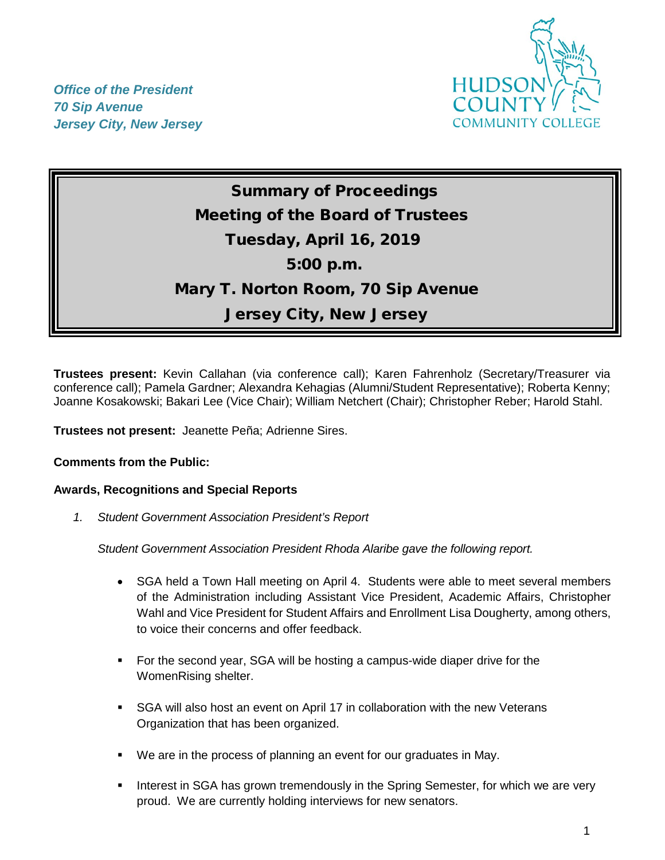



# Summary of Proceedings Meeting of the Board of Trustees Tuesday, April 16, 2019 5:00 p.m. Mary T. Norton Room, 70 Sip Avenue Jersey City, New Jersey

**Trustees present:** Kevin Callahan (via conference call); Karen Fahrenholz (Secretary/Treasurer via conference call); Pamela Gardner; Alexandra Kehagias (Alumni/Student Representative); Roberta Kenny; Joanne Kosakowski; Bakari Lee (Vice Chair); William Netchert (Chair); Christopher Reber; Harold Stahl.

**Trustees not present:** Jeanette Peña; Adrienne Sires.

# **Comments from the Public:**

# **Awards, Recognitions and Special Reports**

*1. Student Government Association President's Report* 

*Student Government Association President Rhoda Alaribe gave the following report.*

- SGA held a Town Hall meeting on April 4. Students were able to meet several members of the Administration including Assistant Vice President, Academic Affairs, Christopher Wahl and Vice President for Student Affairs and Enrollment Lisa Dougherty, among others, to voice their concerns and offer feedback.
- **For the second year, SGA will be hosting a campus-wide diaper drive for the** WomenRising shelter.
- SGA will also host an event on April 17 in collaboration with the new Veterans Organization that has been organized.
- We are in the process of planning an event for our graduates in May.
- **Interest in SGA has grown tremendously in the Spring Semester, for which we are very** proud. We are currently holding interviews for new senators.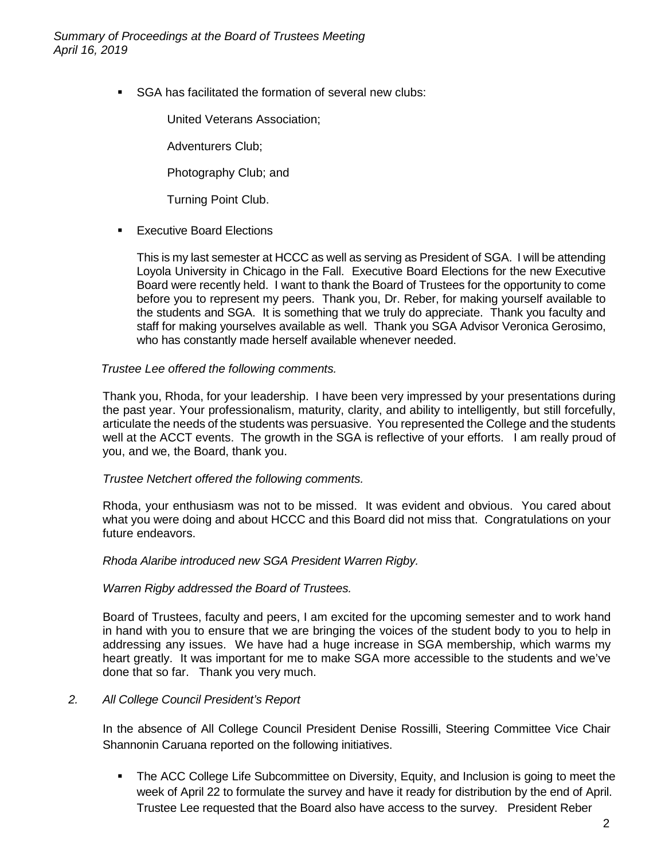*Summary of Proceedings at the Board of Trustees Meeting April 16, 2019* 

SGA has facilitated the formation of several new clubs:

United Veterans Association;

Adventurers Club;

Photography Club; and

Turning Point Club.

**Executive Board Elections** 

This is my last semester at HCCC as well as serving as President of SGA. I will be attending Loyola University in Chicago in the Fall. Executive Board Elections for the new Executive Board were recently held. I want to thank the Board of Trustees for the opportunity to come before you to represent my peers. Thank you, Dr. Reber, for making yourself available to the students and SGA. It is something that we truly do appreciate. Thank you faculty and staff for making yourselves available as well. Thank you SGA Advisor Veronica Gerosimo, who has constantly made herself available whenever needed.

## *Trustee Lee offered the following comments.*

Thank you, Rhoda, for your leadership. I have been very impressed by your presentations during the past year. Your professionalism, maturity, clarity, and ability to intelligently, but still forcefully, articulate the needs of the students was persuasive. You represented the College and the students well at the ACCT events. The growth in the SGA is reflective of your efforts. I am really proud of you, and we, the Board, thank you.

## *Trustee Netchert offered the following comments.*

Rhoda, your enthusiasm was not to be missed. It was evident and obvious. You cared about what you were doing and about HCCC and this Board did not miss that. Congratulations on your future endeavors.

## *Rhoda Alaribe introduced new SGA President Warren Rigby.*

## *Warren Rigby addressed the Board of Trustees.*

Board of Trustees, faculty and peers, I am excited for the upcoming semester and to work hand in hand with you to ensure that we are bringing the voices of the student body to you to help in addressing any issues. We have had a huge increase in SGA membership, which warms my heart greatly. It was important for me to make SGA more accessible to the students and we've done that so far. Thank you very much.

## *2. All College Council President's Report*

In the absence of All College Council President Denise Rossilli, Steering Committee Vice Chair Shannonin Caruana reported on the following initiatives.

**The ACC College Life Subcommittee on Diversity, Equity, and Inclusion is going to meet the** week of April 22 to formulate the survey and have it ready for distribution by the end of April. Trustee Lee requested that the Board also have access to the survey. President Reber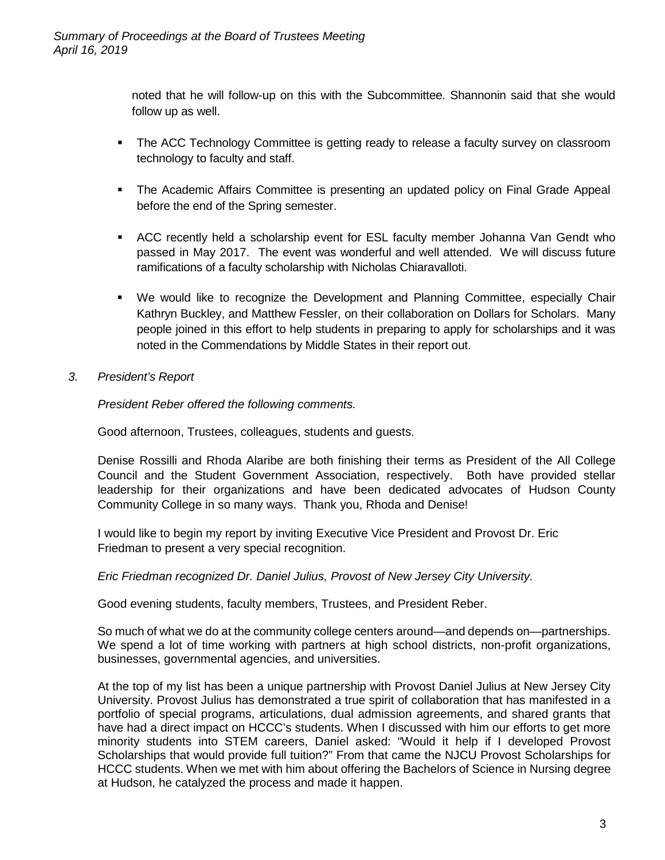noted that he will follow-up on this with the Subcommittee. Shannonin said that she would follow up as well.

- The ACC Technology Committee is getting ready to release a faculty survey on classroom technology to faculty and staff.
- **The Academic Affairs Committee is presenting an updated policy on Final Grade Appeal** before the end of the Spring semester.
- ACC recently held a scholarship event for ESL faculty member Johanna Van Gendt who passed in May 2017. The event was wonderful and well attended. We will discuss future ramifications of a faculty scholarship with Nicholas Chiaravalloti.
- We would like to recognize the Development and Planning Committee, especially Chair Kathryn Buckley, and Matthew Fessler, on their collaboration on Dollars for Scholars. Many people joined in this effort to help students in preparing to apply for scholarships and it was noted in the Commendations by Middle States in their report out.
- *3. President's Report*

*President Reber offered the following comments.*

Good afternoon, Trustees, colleagues, students and guests.

Denise Rossilli and Rhoda Alaribe are both finishing their terms as President of the All College Council and the Student Government Association, respectively. Both have provided stellar leadership for their organizations and have been dedicated advocates of Hudson County Community College in so many ways. Thank you, Rhoda and Denise!

I would like to begin my report by inviting Executive Vice President and Provost Dr. Eric Friedman to present a very special recognition.

*Eric Friedman recognized Dr. Daniel Julius, Provost of New Jersey City University.*

Good evening students, faculty members, Trustees, and President Reber.

So much of what we do at the community college centers around—and depends on—partnerships. We spend a lot of time working with partners at high school districts, non-profit organizations, businesses, governmental agencies, and universities.

At the top of my list has been a unique partnership with Provost Daniel Julius at New Jersey City University. Provost Julius has demonstrated a true spirit of collaboration that has manifested in a portfolio of special programs, articulations, dual admission agreements, and shared grants that have had a direct impact on HCCC's students. When I discussed with him our efforts to get more minority students into STEM careers, Daniel asked: "Would it help if I developed Provost Scholarships that would provide full tuition?" From that came the NJCU Provost Scholarships for HCCC students. When we met with him about offering the Bachelors of Science in Nursing degree at Hudson, he catalyzed the process and made it happen.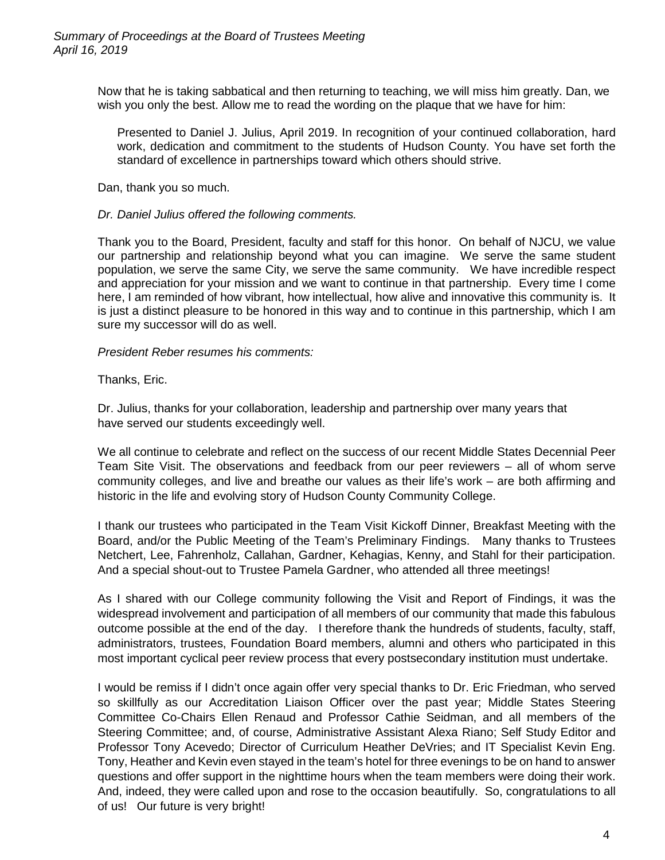Now that he is taking sabbatical and then returning to teaching, we will miss him greatly. Dan, we wish you only the best. Allow me to read the wording on the plaque that we have for him:

Presented to Daniel J. Julius, April 2019. In recognition of your continued collaboration, hard work, dedication and commitment to the students of Hudson County. You have set forth the standard of excellence in partnerships toward which others should strive.

Dan, thank you so much.

## *Dr. Daniel Julius offered the following comments.*

Thank you to the Board, President, faculty and staff for this honor. On behalf of NJCU, we value our partnership and relationship beyond what you can imagine. We serve the same student population, we serve the same City, we serve the same community. We have incredible respect and appreciation for your mission and we want to continue in that partnership. Every time I come here, I am reminded of how vibrant, how intellectual, how alive and innovative this community is. It is just a distinct pleasure to be honored in this way and to continue in this partnership, which I am sure my successor will do as well.

# *President Reber resumes his comments:*

Thanks, Eric.

Dr. Julius, thanks for your collaboration, leadership and partnership over many years that have served our students exceedingly well.

We all continue to celebrate and reflect on the success of our recent Middle States Decennial Peer Team Site Visit. The observations and feedback from our peer reviewers – all of whom serve community colleges, and live and breathe our values as their life's work – are both affirming and historic in the life and evolving story of Hudson County Community College.

I thank our trustees who participated in the Team Visit Kickoff Dinner, Breakfast Meeting with the Board, and/or the Public Meeting of the Team's Preliminary Findings. Many thanks to Trustees Netchert, Lee, Fahrenholz, Callahan, Gardner, Kehagias, Kenny, and Stahl for their participation. And a special shout-out to Trustee Pamela Gardner, who attended all three meetings!

As I shared with our College community following the Visit and Report of Findings, it was the widespread involvement and participation of all members of our community that made this fabulous outcome possible at the end of the day. I therefore thank the hundreds of students, faculty, staff, administrators, trustees, Foundation Board members, alumni and others who participated in this most important cyclical peer review process that every postsecondary institution must undertake.

I would be remiss if I didn't once again offer very special thanks to Dr. Eric Friedman, who served so skillfully as our Accreditation Liaison Officer over the past year; Middle States Steering Committee Co-Chairs Ellen Renaud and Professor Cathie Seidman, and all members of the Steering Committee; and, of course, Administrative Assistant Alexa Riano; Self Study Editor and Professor Tony Acevedo; Director of Curriculum Heather DeVries; and IT Specialist Kevin Eng. Tony, Heather and Kevin even stayed in the team's hotel for three evenings to be on hand to answer questions and offer support in the nighttime hours when the team members were doing their work. And, indeed, they were called upon and rose to the occasion beautifully. So, congratulations to all of us! Our future is very bright!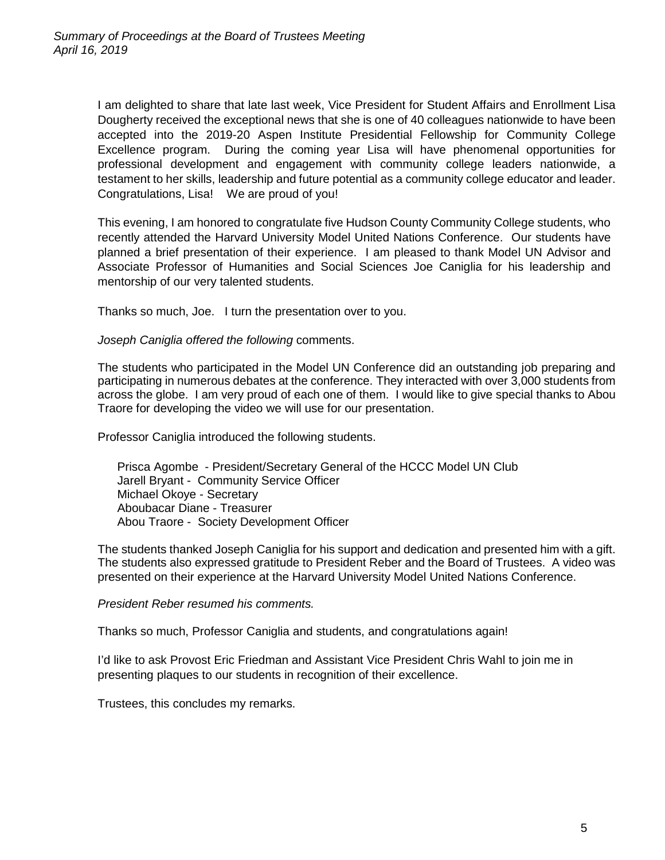I am delighted to share that late last week, Vice President for Student Affairs and Enrollment Lisa Dougherty received the exceptional news that she is one of 40 colleagues nationwide to have been accepted into the 2019-20 Aspen Institute Presidential Fellowship for Community College Excellence program. During the coming year Lisa will have phenomenal opportunities for professional development and engagement with community college leaders nationwide, a testament to her skills, leadership and future potential as a community college educator and leader. Congratulations, Lisa! We are proud of you!

This evening, I am honored to congratulate five Hudson County Community College students, who recently attended the Harvard University Model United Nations Conference. Our students have planned a brief presentation of their experience. I am pleased to thank Model UN Advisor and Associate Professor of Humanities and Social Sciences Joe Caniglia for his leadership and mentorship of our very talented students.

Thanks so much, Joe. I turn the presentation over to you.

*Joseph Caniglia offered the following* comments.

The students who participated in the Model UN Conference did an outstanding job preparing and participating in numerous debates at the conference. They interacted with over 3,000 students from across the globe. I am very proud of each one of them. I would like to give special thanks to Abou Traore for developing the video we will use for our presentation.

Professor Caniglia introduced the following students.

Prisca Agombe - President/Secretary General of the HCCC Model UN Club Jarell Bryant - Community Service Officer Michael Okoye - Secretary Aboubacar Diane - Treasurer Abou Traore - Society Development Officer

The students thanked Joseph Caniglia for his support and dedication and presented him with a gift. The students also expressed gratitude to President Reber and the Board of Trustees. A video was presented on their experience at the Harvard University Model United Nations Conference.

*President Reber resumed his comments.*

Thanks so much, Professor Caniglia and students, and congratulations again!

I'd like to ask Provost Eric Friedman and Assistant Vice President Chris Wahl to join me in presenting plaques to our students in recognition of their excellence.

Trustees, this concludes my remarks.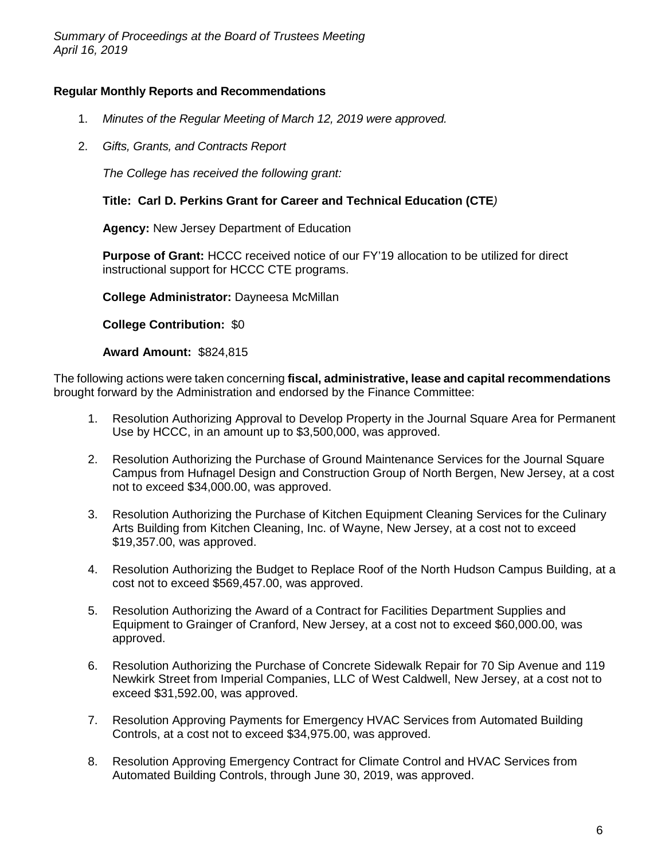*Summary of Proceedings at the Board of Trustees Meeting April 16, 2019* 

# **Regular Monthly Reports and Recommendations**

- 1. *Minutes of the Regular Meeting of March 12, 2019 were approved.*
- 2. *Gifts, Grants, and Contracts Report*

*The College has received the following grant:*

**Title: Carl D. Perkins Grant for Career and Technical Education (CTE***)* 

**Agency:** New Jersey Department of Education

**Purpose of Grant:** HCCC received notice of our FY'19 allocation to be utilized for direct instructional support for HCCC CTE programs.

**College Administrator:** Dayneesa McMillan

**College Contribution:** \$0

**Award Amount:** \$824,815

The following actions were taken concerning **fiscal, administrative, lease and capital recommendations** brought forward by the Administration and endorsed by the Finance Committee:

- 1. Resolution Authorizing Approval to Develop Property in the Journal Square Area for Permanent Use by HCCC, in an amount up to \$3,500,000, was approved.
- 2. Resolution Authorizing the Purchase of Ground Maintenance Services for the Journal Square Campus from Hufnagel Design and Construction Group of North Bergen, New Jersey, at a cost not to exceed \$34,000.00, was approved.
- 3. Resolution Authorizing the Purchase of Kitchen Equipment Cleaning Services for the Culinary Arts Building from Kitchen Cleaning, Inc. of Wayne, New Jersey, at a cost not to exceed \$19,357.00, was approved.
- 4. Resolution Authorizing the Budget to Replace Roof of the North Hudson Campus Building, at a cost not to exceed \$569,457.00, was approved.
- 5. Resolution Authorizing the Award of a Contract for Facilities Department Supplies and Equipment to Grainger of Cranford, New Jersey, at a cost not to exceed \$60,000.00, was approved.
- 6. Resolution Authorizing the Purchase of Concrete Sidewalk Repair for 70 Sip Avenue and 119 Newkirk Street from Imperial Companies, LLC of West Caldwell, New Jersey, at a cost not to exceed \$31,592.00, was approved.
- 7. Resolution Approving Payments for Emergency HVAC Services from Automated Building Controls, at a cost not to exceed \$34,975.00, was approved.
- 8. Resolution Approving Emergency Contract for Climate Control and HVAC Services from Automated Building Controls, through June 30, 2019, was approved.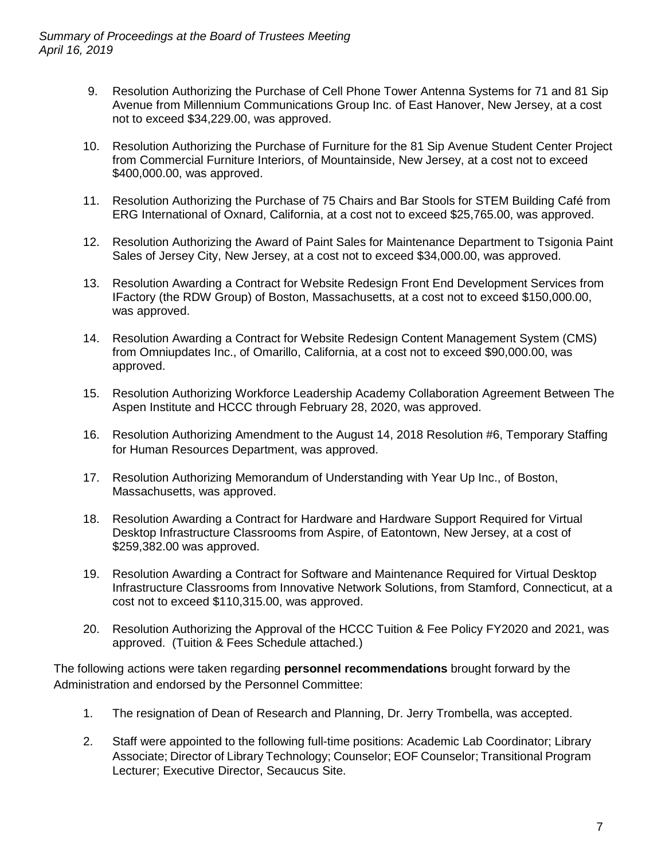- 9. Resolution Authorizing the Purchase of Cell Phone Tower Antenna Systems for 71 and 81 Sip Avenue from Millennium Communications Group Inc. of East Hanover, New Jersey, at a cost not to exceed \$34,229.00, was approved.
- 10. Resolution Authorizing the Purchase of Furniture for the 81 Sip Avenue Student Center Project from Commercial Furniture Interiors, of Mountainside, New Jersey, at a cost not to exceed \$400,000.00, was approved.
- 11. Resolution Authorizing the Purchase of 75 Chairs and Bar Stools for STEM Building Café from ERG International of Oxnard, California, at a cost not to exceed \$25,765.00, was approved.
- 12. Resolution Authorizing the Award of Paint Sales for Maintenance Department to Tsigonia Paint Sales of Jersey City, New Jersey, at a cost not to exceed \$34,000.00, was approved.
- 13. Resolution Awarding a Contract for Website Redesign Front End Development Services from IFactory (the RDW Group) of Boston, Massachusetts, at a cost not to exceed \$150,000.00, was approved.
- 14. Resolution Awarding a Contract for Website Redesign Content Management System (CMS) from Omniupdates Inc., of Omarillo, California, at a cost not to exceed \$90,000.00, was approved.
- 15. Resolution Authorizing Workforce Leadership Academy Collaboration Agreement Between The Aspen Institute and HCCC through February 28, 2020, was approved.
- 16. Resolution Authorizing Amendment to the August 14, 2018 Resolution #6, Temporary Staffing for Human Resources Department, was approved.
- 17. Resolution Authorizing Memorandum of Understanding with Year Up Inc., of Boston, Massachusetts, was approved.
- 18. Resolution Awarding a Contract for Hardware and Hardware Support Required for Virtual Desktop Infrastructure Classrooms from Aspire, of Eatontown, New Jersey, at a cost of \$259,382.00 was approved.
- 19. Resolution Awarding a Contract for Software and Maintenance Required for Virtual Desktop Infrastructure Classrooms from Innovative Network Solutions, from Stamford, Connecticut, at a cost not to exceed \$110,315.00, was approved.
- 20. Resolution Authorizing the Approval of the HCCC Tuition & Fee Policy FY2020 and 2021, was approved. (Tuition & Fees Schedule attached.)

The following actions were taken regarding **personnel recommendations** brought forward by the Administration and endorsed by the Personnel Committee:

- 1. The resignation of Dean of Research and Planning, Dr. Jerry Trombella, was accepted.
- 2. Staff were appointed to the following full-time positions: Academic Lab Coordinator; Library Associate; Director of Library Technology; Counselor; EOF Counselor; Transitional Program Lecturer; Executive Director, Secaucus Site.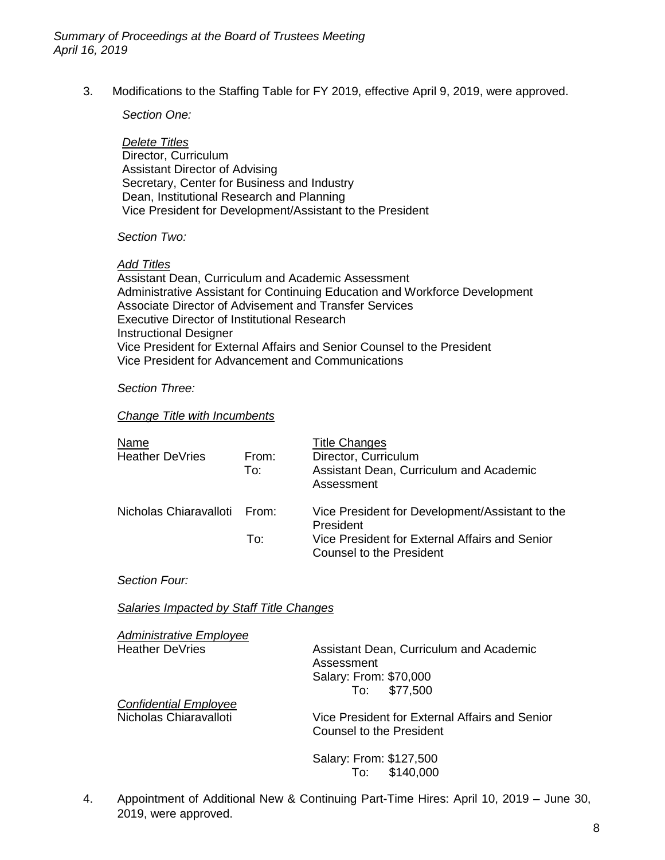3. Modifications to the Staffing Table for FY 2019, effective April 9, 2019, were approved.

*Section One:*

*Delete Titles* Director, Curriculum Assistant Director of Advising Secretary, Center for Business and Industry Dean, Institutional Research and Planning Vice President for Development/Assistant to the President

## *Section Two:*

## *Add Titles*

Assistant Dean, Curriculum and Academic Assessment Administrative Assistant for Continuing Education and Workforce Development Associate Director of Advisement and Transfer Services Executive Director of Institutional Research Instructional Designer Vice President for External Affairs and Senior Counsel to the President Vice President for Advancement and Communications

## *Section Three:*

*Change Title with Incumbents*

| Name<br><b>Heather DeVries</b> | From:<br>To: | <b>Title Changes</b><br>Director, Curriculum<br>Assistant Dean, Curriculum and Academic<br>Assessment |
|--------------------------------|--------------|-------------------------------------------------------------------------------------------------------|
| Nicholas Chiaravalloti From:   |              | Vice President for Development/Assistant to the<br>President                                          |
|                                | To:          | Vice President for External Affairs and Senior<br>Counsel to the President                            |

*Section Four:*

*Salaries Impacted by Staff Title Changes*

*Administrative Employee*

Heather DeVries **Assistant Dean, Curriculum and Academic** Assistant Dean, Curriculum and Academic Assessment Salary: From: \$70,000 To: \$77,500

*Confidential Employee*

Vice President for External Affairs and Senior Counsel to the President

Salary: From: \$127,500 To: \$140,000

4. Appointment of Additional New & Continuing Part-Time Hires: April 10, 2019 – June 30, 2019, were approved.